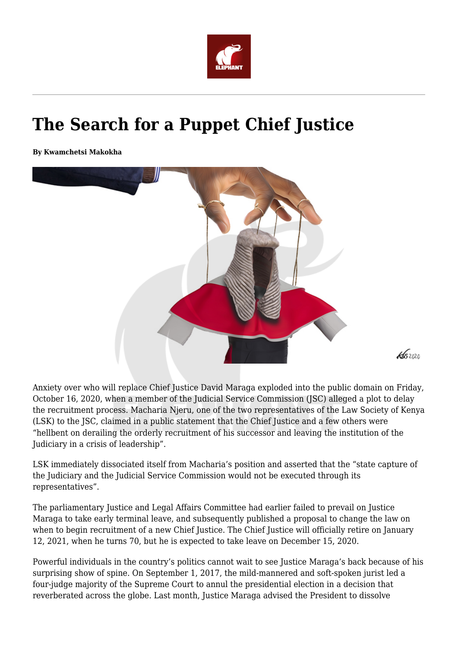

## **The Search for a Puppet Chief Justice**

**By Kwamchetsi Makokha**



Anxiety over who will replace Chief Justice David Maraga exploded into the public domain on Friday, October 16, 2020, when a member of the Judicial Service Commission (JSC) alleged a plot to delay the recruitment process. Macharia Njeru, one of the two representatives of the Law Society of Kenya (LSK) to the JSC, claimed in a public statement that the Chief Justice and a few others were "hellbent on derailing the orderly recruitment of his successor and leaving the institution of the Judiciary in a crisis of leadership".

LSK immediately dissociated itself from Macharia's position and asserted that the "state capture of the Judiciary and the Judicial Service Commission would not be executed through its representatives".

The parliamentary Justice and Legal Affairs Committee had earlier failed to prevail on Justice Maraga to take early terminal leave, and subsequently published a proposal to change the law on when to begin recruitment of a new Chief Justice. The Chief Justice will officially retire on January 12, 2021, when he turns 70, but he is expected to take leave on December 15, 2020.

Powerful individuals in the country's politics cannot wait to see Justice Maraga's back because of his surprising show of spine. On September 1, 2017, the mild-mannered and soft-spoken jurist led a four-judge majority of the Supreme Court to annul the presidential election in a decision that reverberated across the globe. Last month, Justice Maraga advised the President to dissolve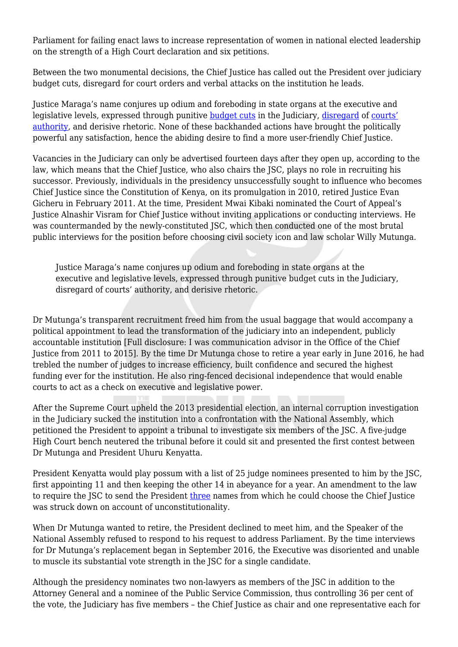Parliament for failing enact laws to increase representation of women in national elected leadership on the strength of a High Court declaration and six petitions.

Between the two monumental decisions, the Chief Justice has called out the President over judiciary budget cuts, disregard for court orders and verbal attacks on the institution he leads.

Justice Maraga's name conjures up odium and foreboding in state organs at the executive and legislative levels, expressed through punitive [budget cuts](https://africacheck.org/reports/factchecking-kenyas-chief-justice-on-judiciary-funding-and-backlog-of-cases/) in the Judiciary, [disregard](https://www.businessdailyafrica.com/bd/data-hub/pain-of-increasing-non-compliance-with-court-orders-2285070) of [courts'](https://maudhui.co.ke/list-court-orders-disobeyed-kenyan-government/) [authority,](https://maudhui.co.ke/list-court-orders-disobeyed-kenyan-government/) and derisive rhetoric. None of these backhanded actions have brought the politically powerful any satisfaction, hence the abiding desire to find a more user-friendly Chief Justice.

Vacancies in the Judiciary can only be advertised fourteen days after they open up, according to the law, which means that the Chief Justice, who also chairs the JSC, plays no role in recruiting his successor. Previously, individuals in the presidency unsuccessfully sought to influence who becomes Chief Justice since the Constitution of Kenya, on its promulgation in 2010, retired Justice Evan Gicheru in February 2011. At the time, President Mwai Kibaki nominated the Court of Appeal's Justice Alnashir Visram for Chief Justice without inviting applications or conducting interviews. He was countermanded by the newly-constituted JSC, which then conducted one of the most brutal public interviews for the position before choosing civil society icon and law scholar Willy Mutunga.

Justice Maraga's name conjures up odium and foreboding in state organs at the executive and legislative levels, expressed through punitive budget cuts in the Judiciary, disregard of courts' authority, and derisive rhetoric.

Dr Mutunga's transparent recruitment freed him from the usual baggage that would accompany a political appointment to lead the transformation of the judiciary into an independent, publicly accountable institution [Full disclosure: I was communication advisor in the Office of the Chief Justice from 2011 to 2015]. By the time Dr Mutunga chose to retire a year early in June 2016, he had trebled the number of judges to increase efficiency, built confidence and secured the highest funding ever for the institution. He also ring-fenced decisional independence that would enable courts to act as a check on executive and legislative power.

After the Supreme Court upheld the 2013 presidential election, an internal corruption investigation in the Judiciary sucked the institution into a confrontation with the National Assembly, which petitioned the President to appoint a tribunal to investigate six members of the JSC. A five-judge High Court bench neutered the tribunal before it could sit and presented the first contest between Dr Mutunga and President Uhuru Kenyatta.

President Kenyatta would play possum with a list of 25 judge nominees presented to him by the JSC, first appointing 11 and then keeping the other 14 in abeyance for a year. An amendment to the law to require the JSC to send the President [three](https://nation.africa/kenya/news/judges-clip-president-s-powers-in-choice-of-chief-justice-1202274) names from which he could choose the Chief Justice was struck down on account of unconstitutionality.

When Dr Mutunga wanted to retire, the President declined to meet him, and the Speaker of the National Assembly refused to respond to his request to address Parliament. By the time interviews for Dr Mutunga's replacement began in September 2016, the Executive was disoriented and unable to muscle its substantial vote strength in the JSC for a single candidate.

Although the presidency nominates two non-lawyers as members of the JSC in addition to the Attorney General and a nominee of the Public Service Commission, thus controlling 36 per cent of the vote, the Judiciary has five members – the Chief Justice as chair and one representative each for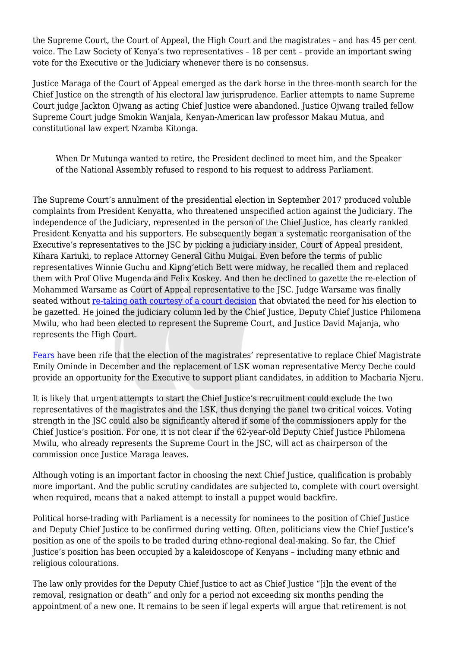the Supreme Court, the Court of Appeal, the High Court and the magistrates – and has 45 per cent voice. The Law Society of Kenya's two representatives – 18 per cent – provide an important swing vote for the Executive or the Judiciary whenever there is no consensus.

Justice Maraga of the Court of Appeal emerged as the dark horse in the three-month search for the Chief Justice on the strength of his electoral law jurisprudence. Earlier attempts to name Supreme Court judge Jackton Ojwang as acting Chief Justice were abandoned. Justice Ojwang trailed fellow Supreme Court judge Smokin Wanjala, Kenyan-American law professor Makau Mutua, and constitutional law expert Nzamba Kitonga.

When Dr Mutunga wanted to retire, the President declined to meet him, and the Speaker of the National Assembly refused to respond to his request to address Parliament.

The Supreme Court's annulment of the presidential election in September 2017 produced voluble complaints from President Kenyatta, who threatened unspecified action against the Judiciary. The independence of the Judiciary, represented in the person of the Chief Justice, has clearly rankled President Kenyatta and his supporters. He subsequently began a systematic reorganisation of the Executive's representatives to the JSC by picking a judiciary insider, Court of Appeal president, Kihara Kariuki, to replace Attorney General Githu Muigai. Even before the terms of public representatives Winnie Guchu and Kipng'etich Bett were midway, he recalled them and replaced them with Prof Olive Mugenda and Felix Koskey. And then he declined to gazette the re-election of Mohammed Warsame as Court of Appeal representative to the JSC. Judge Warsame was finally seated without [re-taking oath courtesy of a court decision](http://kenyalaw.org/caselaw/cases/view/164796/) that obviated the need for his election to be gazetted. He joined the judiciary column led by the Chief Justice, Deputy Chief Justice Philomena Mwilu, who had been elected to represent the Supreme Court, and Justice David Majanja, who represents the High Court.

[Fears](https://twitter.com/NelsonHavi/status/1312629170883776515) have been rife that the election of the magistrates' representative to replace Chief Magistrate Emily Ominde in December and the replacement of LSK woman representative Mercy Deche could provide an opportunity for the Executive to support pliant candidates, in addition to Macharia Njeru.

It is likely that urgent attempts to start the Chief Justice's recruitment could exclude the two representatives of the magistrates and the LSK, thus denying the panel two critical voices. Voting strength in the JSC could also be significantly altered if some of the commissioners apply for the Chief Justice's position. For one, it is not clear if the 62-year-old Deputy Chief Justice Philomena Mwilu, who already represents the Supreme Court in the JSC, will act as chairperson of the commission once Justice Maraga leaves.

Although voting is an important factor in choosing the next Chief Justice, qualification is probably more important. And the public scrutiny candidates are subjected to, complete with court oversight when required, means that a naked attempt to install a puppet would backfire.

Political horse-trading with Parliament is a necessity for nominees to the position of Chief Justice and Deputy Chief Justice to be confirmed during vetting. Often, politicians view the Chief Justice's position as one of the spoils to be traded during ethno-regional deal-making. So far, the Chief Justice's position has been occupied by a kaleidoscope of Kenyans – including many ethnic and religious colourations.

The law only provides for the Deputy Chief Justice to act as Chief Justice "[i]n the event of the removal, resignation or death" and only for a period not exceeding six months pending the appointment of a new one. It remains to be seen if legal experts will argue that retirement is not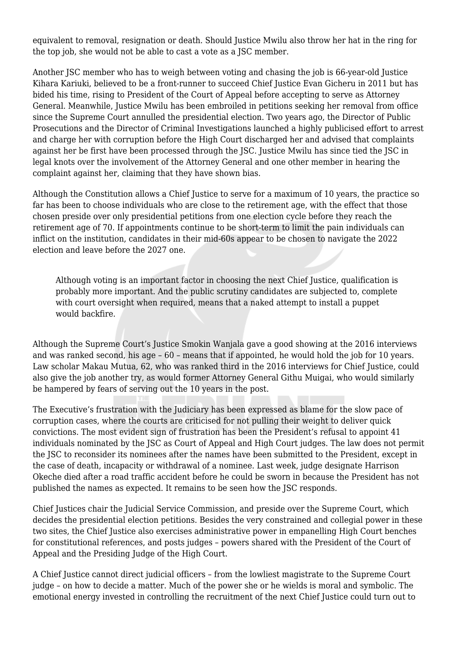equivalent to removal, resignation or death. Should Justice Mwilu also throw her hat in the ring for the top job, she would not be able to cast a vote as a JSC member.

Another JSC member who has to weigh between voting and chasing the job is 66-year-old Justice Kihara Kariuki, believed to be a front-runner to succeed Chief Justice Evan Gicheru in 2011 but has bided his time, rising to President of the Court of Appeal before accepting to serve as Attorney General. Meanwhile, Justice Mwilu has been embroiled in petitions seeking her removal from office since the Supreme Court annulled the presidential election. Two years ago, the Director of Public Prosecutions and the Director of Criminal Investigations launched a highly publicised effort to arrest and charge her with corruption before the High Court discharged her and advised that complaints against her be first have been processed through the JSC. Justice Mwilu has since tied the JSC in legal knots over the involvement of the Attorney General and one other member in hearing the complaint against her, claiming that they have shown bias.

Although the Constitution allows a Chief Justice to serve for a maximum of 10 years, the practice so far has been to choose individuals who are close to the retirement age, with the effect that those chosen preside over only presidential petitions from one election cycle before they reach the retirement age of 70. If appointments continue to be short-term to limit the pain individuals can inflict on the institution, candidates in their mid-60s appear to be chosen to navigate the 2022 election and leave before the 2027 one.

Although voting is an important factor in choosing the next Chief Justice, qualification is probably more important. And the public scrutiny candidates are subjected to, complete with court oversight when required, means that a naked attempt to install a puppet would backfire.

Although the Supreme Court's Justice Smokin Wanjala gave a good showing at the 2016 interviews and was ranked second, his age – 60 – means that if appointed, he would hold the job for 10 years. Law scholar Makau Mutua, 62, who was ranked third in the 2016 interviews for Chief Justice, could also give the job another try, as would former Attorney General Githu Muigai, who would similarly be hampered by fears of serving out the 10 years in the post.

The Executive's frustration with the Judiciary has been expressed as blame for the slow pace of corruption cases, where the courts are criticised for not pulling their weight to deliver quick convictions. The most evident sign of frustration has been the President's refusal to appoint 41 individuals nominated by the JSC as Court of Appeal and High Court judges. The law does not permit the JSC to reconsider its nominees after the names have been submitted to the President, except in the case of death, incapacity or withdrawal of a nominee. Last week, judge designate Harrison Okeche died after a road traffic accident before he could be sworn in because the President has not published the names as expected. It remains to be seen how the JSC responds.

Chief Justices chair the Judicial Service Commission, and preside over the Supreme Court, which decides the presidential election petitions. Besides the very constrained and collegial power in these two sites, the Chief Justice also exercises administrative power in empanelling High Court benches for constitutional references, and posts judges – powers shared with the President of the Court of Appeal and the Presiding Judge of the High Court.

A Chief Justice cannot direct judicial officers – from the lowliest magistrate to the Supreme Court judge – on how to decide a matter. Much of the power she or he wields is moral and symbolic. The emotional energy invested in controlling the recruitment of the next Chief Justice could turn out to